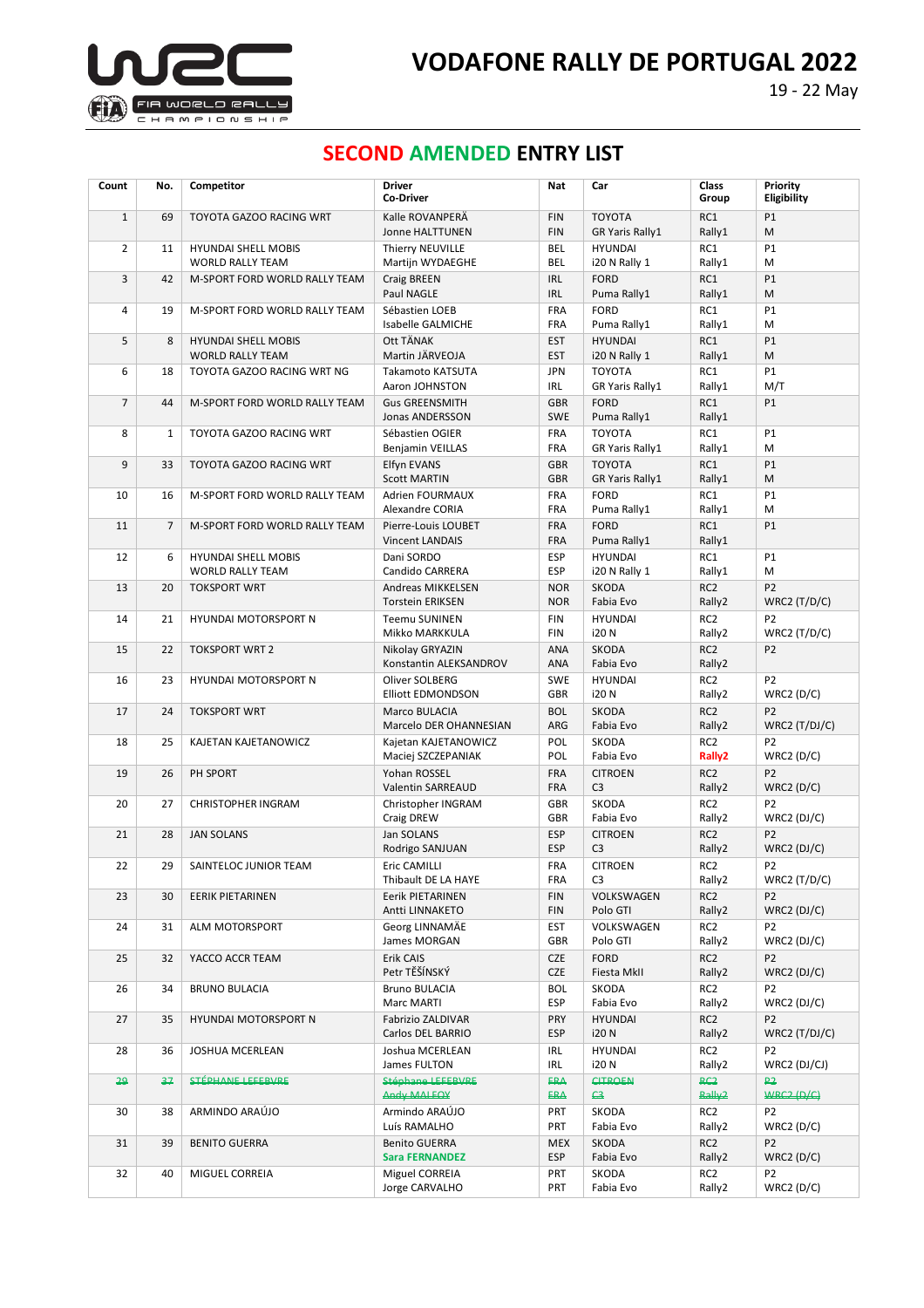

## **SECOND AMENDED ENTRY LIST**

| Count          | No.            | Competitor                                               | <b>Driver</b><br><b>Co-Driver</b>                                 | Nat                             | Car                                       | Class<br>Group                        | Priority<br>Eligibility                        |
|----------------|----------------|----------------------------------------------------------|-------------------------------------------------------------------|---------------------------------|-------------------------------------------|---------------------------------------|------------------------------------------------|
| $\mathbf{1}$   | 69             | TOYOTA GAZOO RACING WRT                                  | Kalle ROVANPERÄ<br><b>Jonne HALTTUNEN</b>                         | <b>FIN</b><br><b>FIN</b>        | <b>TOYOTA</b><br>GR Yaris Rally1          | RC1<br>Rally1                         | P1<br>M                                        |
| $\overline{2}$ | 11             | <b>HYUNDAI SHELL MOBIS</b>                               | Thierry NEUVILLE                                                  | <b>BEL</b><br><b>BEL</b>        | <b>HYUNDAI</b>                            | RC1                                   | P1                                             |
| 3              | 42             | <b>WORLD RALLY TEAM</b><br>M-SPORT FORD WORLD RALLY TEAM | Martijn WYDAEGHE<br>Craig BREEN<br>Paul NAGLE                     | <b>IRL</b><br><b>IRL</b>        | i20 N Rally 1<br><b>FORD</b>              | Rally1<br>RC1                         | M<br>P1<br>M                                   |
| 4              | 19             | M-SPORT FORD WORLD RALLY TEAM                            | Sébastien LOEB<br>Isabelle GALMICHE                               | FRA<br>FRA                      | Puma Rally1<br><b>FORD</b><br>Puma Rally1 | Rally1<br>RC1<br>Rally1               | P1<br>М                                        |
| 5              | 8              | <b>HYUNDAI SHELL MOBIS</b>                               | Ott TÄNAK                                                         | <b>EST</b>                      | <b>HYUNDAI</b>                            | RC1                                   | P1                                             |
| 6              | 18             | <b>WORLD RALLY TEAM</b><br>TOYOTA GAZOO RACING WRT NG    | Martin JÄRVEOJA<br>Takamoto KATSUTA                               | <b>EST</b><br><b>JPN</b>        | i20 N Rally 1<br><b>TOYOTA</b>            | Rally1<br>RC1                         | M<br>P1                                        |
|                |                |                                                          | Aaron JOHNSTON                                                    | <b>IRL</b>                      | GR Yaris Rally1                           | Rally1                                | M/T                                            |
| $\overline{7}$ | 44             | M-SPORT FORD WORLD RALLY TEAM                            | <b>Gus GREENSMITH</b><br>Jonas ANDERSSON                          | <b>GBR</b><br><b>SWE</b>        | <b>FORD</b><br>Puma Rally1                | RC1<br>Rally1                         | P1                                             |
| 8              | 1              | TOYOTA GAZOO RACING WRT                                  | Sébastien OGIER<br><b>Benjamin VEILLAS</b>                        | <b>FRA</b><br>FRA               | <b>TOYOTA</b><br>GR Yaris Rally1          | RC1<br>Rally1                         | P1<br>M                                        |
| 9              | 33             | TOYOTA GAZOO RACING WRT                                  | Elfyn EVANS<br><b>Scott MARTIN</b>                                | <b>GBR</b><br><b>GBR</b>        | <b>TOYOTA</b><br><b>GR Yaris Rally1</b>   | RC1<br>Rally1                         | P1<br>M                                        |
| 10             | 16             | M-SPORT FORD WORLD RALLY TEAM                            | <b>Adrien FOURMAUX</b><br>Alexandre CORIA                         | FRA<br>FRA                      | <b>FORD</b><br>Puma Rally1                | RC1<br>Rally1                         | P1<br>М                                        |
| 11             | $\overline{7}$ | M-SPORT FORD WORLD RALLY TEAM                            | Pierre-Louis LOUBET<br><b>Vincent LANDAIS</b>                     | FRA<br>FRA                      | <b>FORD</b><br>Puma Rally1                | RC1<br>Rally1                         | P1                                             |
| 12             | 6              | <b>HYUNDAI SHELL MOBIS</b><br><b>WORLD RALLY TEAM</b>    | Dani SORDO<br>Candido CARRERA                                     | <b>ESP</b><br>ESP               | <b>HYUNDAI</b><br>i20 N Rally 1           | RC1<br>Rally1                         | P1<br>M                                        |
| 13             | 20             | <b>TOKSPORT WRT</b>                                      | Andreas MIKKELSEN<br><b>Torstein ERIKSEN</b>                      | <b>NOR</b><br><b>NOR</b>        | <b>SKODA</b><br>Fabia Evo                 | RC <sub>2</sub><br>Rally2             | P <sub>2</sub>                                 |
| 14             | 21             | HYUNDAI MOTORSPORT N                                     | <b>Teemu SUNINEN</b>                                              | <b>FIN</b><br><b>FIN</b>        | <b>HYUNDAI</b><br>i20 N                   | RC <sub>2</sub><br>Rally2             | WRC2 $(T/D/C)$<br>P <sub>2</sub>               |
| 15             | 22             | <b>TOKSPORT WRT 2</b>                                    | Mikko MARKKULA<br>Nikolay GRYAZIN                                 | ANA                             | <b>SKODA</b>                              | RC <sub>2</sub>                       | WRC2 $(T/D/C)$<br>P <sub>2</sub>               |
| 16             | 23             | HYUNDAI MOTORSPORT N                                     | Konstantin ALEKSANDROV<br>Oliver SOLBERG                          | <b>ANA</b><br><b>SWE</b>        | Fabia Evo<br><b>HYUNDAI</b>               | Rally2<br>RC <sub>2</sub>             | P <sub>2</sub>                                 |
|                |                |                                                          | <b>Elliott EDMONDSON</b>                                          | <b>GBR</b>                      | i20 N                                     | Rally2                                | WRC2(D/C)                                      |
| 17             | 24             | <b>TOKSPORT WRT</b>                                      | Marco BULACIA<br>Marcelo DER OHANNESIAN                           | <b>BOL</b><br>ARG               | <b>SKODA</b><br>Fabia Evo                 | RC <sub>2</sub><br>Rally2             | P <sub>2</sub><br>WRC2 $(T/DJ/C)$              |
| 18             | 25             | KAJETAN KAJETANOWICZ                                     | Kajetan KAJETANOWICZ<br>Maciej SZCZEPANIAK                        | POL<br>POL                      | <b>SKODA</b><br>Fabia Evo                 | RC <sub>2</sub><br>Rally <sub>2</sub> | P <sub>2</sub><br>WRC2(D/C)                    |
| 19             | 26             | PH SPORT                                                 | Yohan ROSSEL<br><b>Valentin SARREAUD</b>                          | FRA<br><b>FRA</b>               | <b>CITROEN</b><br>C <sub>3</sub>          | RC <sub>2</sub><br>Rally2             | P <sub>2</sub><br>WRC2(D/C)                    |
| 20             | 27             | <b>CHRISTOPHER INGRAM</b>                                | Christopher INGRAM<br>Craig DREW                                  | <b>GBR</b><br>GBR               | SKODA<br>Fabia Evo                        | RC <sub>2</sub><br>Rally2             | P <sub>2</sub><br>$WRC2$ (DJ/C)                |
| 21             | 28             | <b>JAN SOLANS</b>                                        | Jan SOLANS<br>Rodrigo SANJUAN                                     | <b>ESP</b><br><b>ESP</b>        | <b>CITROEN</b><br>C <sub>3</sub>          | RC <sub>2</sub><br>Rally2             | P <sub>2</sub><br>$WRC2$ (DJ/C)                |
| 22             | 29             | SAINTELOC JUNIOR TEAM                                    | <b>Eric CAMILLI</b>                                               | <b>FRA</b>                      | <b>CITROEN</b>                            | RC <sub>2</sub>                       | P <sub>2</sub>                                 |
| 23             | 30             | <b>EERIK PIETARINEN</b>                                  | Thibault DE LA HAYE<br><b>Eerik PIETARINEN</b><br>Antti LINNAKETO | FRA<br><b>FIN</b><br><b>FIN</b> | C <sub>3</sub><br>VOLKSWAGEN<br>Polo GTI  | Rally2<br>RC <sub>2</sub><br>Rally2   | WRC2 $(T/D/C)$<br>P <sub>2</sub><br>WRC2(DJ/C) |
| 24             | 31             | ALM MOTORSPORT                                           | Georg LINNAMÄE                                                    | <b>EST</b>                      | VOLKSWAGEN                                | RC <sub>2</sub>                       | P <sub>2</sub>                                 |
| 25             | 32             | YACCO ACCR TEAM                                          | James MORGAN<br>Erik CAIS                                         | <b>GBR</b><br>CZE               | Polo GTI<br><b>FORD</b>                   | Rally2<br>RC <sub>2</sub>             | $WRC2$ (DJ/C)<br>P <sub>2</sub>                |
| 26             | 34             | <b>BRUNO BULACIA</b>                                     | Petr TĚŠÍNSKÝ<br><b>Bruno BULACIA</b>                             | CZE<br><b>BOL</b>               | Fiesta MkII<br>SKODA                      | Rally2<br>RC <sub>2</sub>             | $WRC2$ (DJ/C)<br>P <sub>2</sub>                |
| 27             | 35             | HYUNDAI MOTORSPORT N                                     | Marc MARTI<br>Fabrizio ZALDIVAR                                   | <b>ESP</b><br>PRY               | Fabia Evo<br><b>HYUNDAI</b>               | Rally2<br>RC <sub>2</sub>             | WRC2(DJ/C)<br>P <sub>2</sub>                   |
| 28             | 36             | JOSHUA MCERLEAN                                          | Carlos DEL BARRIO<br>Joshua MCERLEAN                              | <b>ESP</b><br><b>IRL</b>        | <b>i20N</b><br><b>HYUNDAI</b>             | Rally2<br>RC <sub>2</sub>             | WRC2 $(T/DJ/C)$<br>P <sub>2</sub>              |
| $\rightarrow$  | ₩              | STÉPHANE LEFEBVRE                                        | James FULTON<br>Stéphane LEFEBVRE                                 | IRL<br><b>ERA</b>               | <b>i20N</b><br><b>CITROEN</b>             | Rally2<br>$rac{2}{\sqrt{2}}$          | WRC2 (DJ/CJ)<br>₽₹                             |
|                |                |                                                          | Andy MALFOY                                                       | <b>ERA</b>                      | $\bigoplus$                               | Rally <sub>2</sub>                    | <b>WRC2 (D/C)</b>                              |
| 30             | 38             | ARMINDO ARAÚJO                                           | Armindo ARAÚJO<br>Luís RAMALHO                                    | <b>PRT</b><br>PRT               | SKODA<br>Fabia Evo                        | RC <sub>2</sub><br>Rally2             | P <sub>2</sub><br>WRC2(D/C)                    |
| 31             | 39             | <b>BENITO GUERRA</b>                                     | <b>Benito GUERRA</b><br><b>Sara FERNANDEZ</b>                     | <b>MEX</b><br><b>ESP</b>        | SKODA<br>Fabia Evo                        | RC <sub>2</sub><br>Rally2             | P <sub>2</sub><br>WRC2(D/C)                    |
| 32             | 40             | MIGUEL CORREIA                                           | Miguel CORREIA<br>Jorge CARVALHO                                  | PRT<br>PRT                      | SKODA<br>Fabia Evo                        | RC <sub>2</sub><br>Rally2             | P2<br>WRC2(D/C)                                |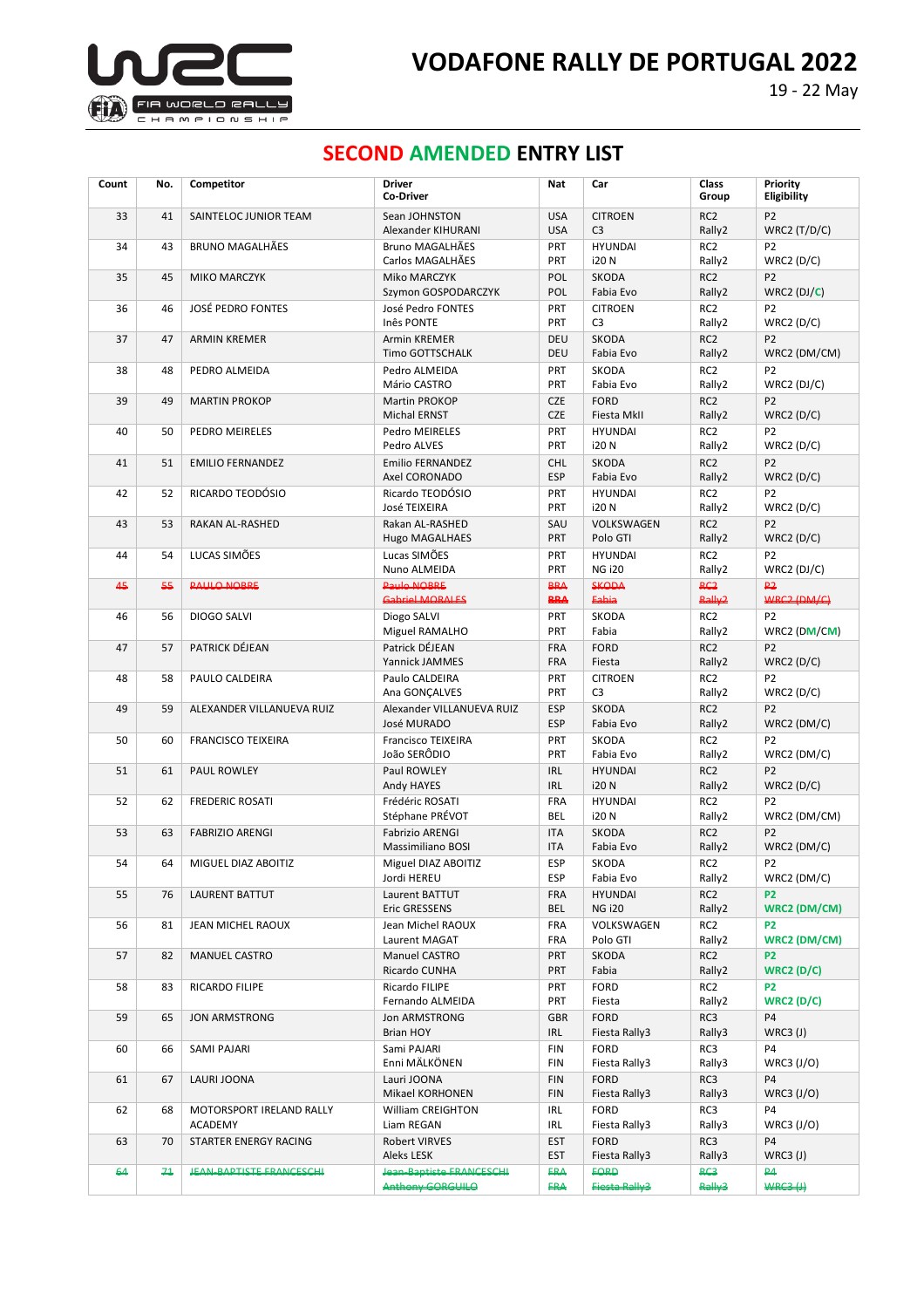

# **SECOND AMENDED ENTRY LIST**

| Count | No. | Competitor                          | <b>Driver</b><br>Co-Driver                         | Nat                      | Car                              | Class<br>Group                  | Priority<br>Eligibility               |
|-------|-----|-------------------------------------|----------------------------------------------------|--------------------------|----------------------------------|---------------------------------|---------------------------------------|
| 33    | 41  | SAINTELOC JUNIOR TEAM               | Sean JOHNSTON<br>Alexander KIHURANI                | <b>USA</b><br><b>USA</b> | <b>CITROEN</b><br>C <sub>3</sub> | RC <sub>2</sub><br>Rally2       | P <sub>2</sub><br>WRC2 $(T/D/C)$      |
| 34    | 43  | <b>BRUNO MAGALHÃES</b>              | Bruno MAGALHÃES<br>Carlos MAGALHÃES                | PRT<br><b>PRT</b>        | <b>HYUNDAI</b><br><b>i20N</b>    | RC <sub>2</sub><br>Rally2       | P <sub>2</sub><br>WRC2(D/C)           |
| 35    | 45  | <b>MIKO MARCZYK</b>                 | Miko MARCZYK<br>Szymon GOSPODARCZYK                | POL<br>POL               | <b>SKODA</b><br>Fabia Evo        | RC <sub>2</sub><br>Rally2       | P <sub>2</sub><br>WRC2 $(DJ/C)$       |
| 36    | 46  | <b>JOSÉ PEDRO FONTES</b>            | José Pedro FONTES<br>Inês PONTE                    | <b>PRT</b><br><b>PRT</b> | <b>CITROEN</b><br>C <sub>3</sub> | RC <sub>2</sub><br>Rally2       | P <sub>2</sub><br>WRC2(D/C)           |
| 37    | 47  | <b>ARMIN KREMER</b>                 | Armin KREMER<br>Timo GOTTSCHALK                    | DEU<br>DEU               | <b>SKODA</b><br>Fabia Evo        | RC <sub>2</sub><br>Rally2       | P <sub>2</sub><br>WRC2 (DM/CM)        |
| 38    | 48  | PEDRO ALMEIDA                       | Pedro ALMEIDA<br>Mário CASTRO                      | PRT<br>PRT               | SKODA<br>Fabia Evo               | RC <sub>2</sub><br>Rally2       | P <sub>2</sub><br>$WRC2$ (DJ/C)       |
| 39    | 49  | <b>MARTIN PROKOP</b>                | Martin PROKOP<br><b>Michal ERNST</b>               | <b>CZE</b><br><b>CZE</b> | <b>FORD</b><br>Fiesta MkII       | RC <sub>2</sub><br>Rally2       | P <sub>2</sub><br>WRC2(D/C)           |
| 40    | 50  | PEDRO MEIRELES                      | Pedro MEIRELES<br>Pedro ALVES                      | PRT<br>PRT               | <b>HYUNDAI</b><br><b>i20N</b>    | RC <sub>2</sub><br>Rally2       | P <sub>2</sub><br>WRC2(D/C)           |
| 41    | 51  | <b>EMILIO FERNANDEZ</b>             | <b>Emilio FERNANDEZ</b><br>Axel CORONADO           | <b>CHL</b><br><b>ESP</b> | SKODA<br>Fabia Evo               | RC <sub>2</sub><br>Rally2       | P <sub>2</sub><br>WRC2(D/C)           |
| 42    | 52  | RICARDO TEODÓSIO                    | Ricardo TEODÓSIO<br>José TEIXEIRA                  | <b>PRT</b><br><b>PRT</b> | <b>HYUNDAI</b><br><b>i20N</b>    | RC <sub>2</sub><br>Rally2       | P <sub>2</sub><br>WRC2(D/C)           |
| 43    | 53  | RAKAN AL-RASHED                     | Rakan AL-RASHED<br><b>Hugo MAGALHAES</b>           | SAU<br><b>PRT</b>        | VOLKSWAGEN<br>Polo GTI           | RC <sub>2</sub><br>Rally2       | P <sub>2</sub><br>WRC2(D/C)           |
| 44    | 54  | LUCAS SIMÕES                        | Lucas SIMÕES<br>Nuno ALMEIDA                       | PRT<br>PRT               | <b>HYUNDAI</b><br><b>NG i20</b>  | RC <sub>2</sub><br>Rally2       | P <sub>2</sub><br>$WRC2$ (DJ/C)       |
| 45    | 55  | <b>PALILO NORRE</b>                 | <b>Paulo NORRE</b><br><b>Gabriel MORALES</b>       | <b>BRA</b><br><b>BBA</b> | SKODA<br><b>Eabia</b>            | R <sub>2</sub><br><b>Rally2</b> | <b>p2</b><br>WRC2 (DM/C)              |
| 46    | 56  | <b>DIOGO SALVI</b>                  | Diogo SALVI<br>Miguel RAMALHO                      | PRT<br>PRT               | <b>SKODA</b><br>Fabia            | RC <sub>2</sub><br>Rally2       | P <sub>2</sub><br>WRC2 (DM/CM)        |
| 47    | 57  | PATRICK DÉJEAN                      | Patrick DÉJEAN<br>Yannick JAMMES                   | FRA<br>FRA               | <b>FORD</b><br>Fiesta            | RC <sub>2</sub><br>Rally2       | P <sub>2</sub><br>WRC2(D/C)           |
| 48    | 58  | PAULO CALDEIRA                      | Paulo CALDEIRA<br>Ana GONÇALVES                    | <b>PRT</b><br>PRT        | <b>CITROEN</b><br>C <sub>3</sub> | RC <sub>2</sub><br>Rally2       | P <sub>2</sub><br>WRC2(D/C)           |
| 49    | 59  | ALEXANDER VILLANUEVA RUIZ           | Alexander VILLANUEVA RUIZ<br>José MURADO           | <b>ESP</b><br><b>ESP</b> | SKODA<br>Fabia Evo               | RC <sub>2</sub><br>Rally2       | P <sub>2</sub><br>WRC2 (DM/C)         |
| 50    | 60  | <b>FRANCISCO TEIXEIRA</b>           | Francisco TEIXEIRA<br>João SERÔDIO                 | PRT<br>PRT               | <b>SKODA</b><br>Fabia Evo        | RC <sub>2</sub><br>Rally2       | P <sub>2</sub><br>WRC2 (DM/C)         |
| 51    | 61  | PAUL ROWLEY                         | Paul ROWLEY<br>Andy HAYES                          | <b>IRL</b><br><b>IRL</b> | <b>HYUNDAI</b><br><b>i20N</b>    | RC <sub>2</sub><br>Rally2       | P <sub>2</sub><br>WRC2(D/C)           |
| 52    | 62  | <b>FREDERIC ROSATI</b>              | Frédéric ROSATI<br>Stéphane PRÉVOT                 | FRA<br><b>BEL</b>        | <b>HYUNDAI</b><br><b>i20N</b>    | RC <sub>2</sub><br>Rally2       | P <sub>2</sub><br>WRC2 (DM/CM)        |
| 53    | 63  | <b>FABRIZIO ARENGI</b>              | <b>Fabrizio ARENGI</b><br><b>Massimiliano BOSI</b> | <b>ITA</b><br><b>ITA</b> | <b>SKODA</b><br>Fabia Evo        | RC <sub>2</sub><br>Rally2       | P <sub>2</sub><br>WRC2 (DM/C)         |
| 54    | 64  | MIGUEL DIAZ ABOITIZ                 | Miguel DIAZ ABOITIZ<br>Jordi HEREU                 | <b>ESP</b><br><b>ESP</b> | <b>SKODA</b><br>Fabia Evo        | RC <sub>2</sub><br>Rally2       | P <sub>2</sub><br>WRC2 (DM/C)         |
| 55    | 76  | <b>LAURENT BATTUT</b>               | Laurent BATTUT<br>Eric GRESSENS                    | <b>FRA</b><br><b>BEL</b> | <b>HYUNDAI</b><br><b>NG i20</b>  | RC <sub>2</sub><br>Rally2       | P <sub>2</sub><br><b>WRC2 (DM/CM)</b> |
| 56    | 81  | JEAN MICHEL RAOUX                   | Jean Michel RAOUX<br>Laurent MAGAT                 | <b>FRA</b><br>FRA        | VOLKSWAGEN<br>Polo GTI           | RC <sub>2</sub><br>Rally2       | P <sub>2</sub><br>WRC2 (DM/CM)        |
| 57    | 82  | <b>MANUEL CASTRO</b>                | Manuel CASTRO<br>Ricardo CUNHA                     | PRT<br><b>PRT</b>        | SKODA<br>Fabia                   | RC <sub>2</sub><br>Rally2       | P <sub>2</sub><br>WRC2(D/C)           |
| 58    | 83  | RICARDO FILIPE                      | Ricardo FILIPE<br>Fernando ALMEIDA                 | <b>PRT</b><br>PRT        | <b>FORD</b><br>Fiesta            | RC <sub>2</sub><br>Rally2       | P <sub>2</sub><br>WRC2(D/C)           |
| 59    | 65  | <b>JON ARMSTRONG</b>                | <b>Jon ARMSTRONG</b><br><b>Brian HOY</b>           | <b>GBR</b><br><b>IRL</b> | <b>FORD</b><br>Fiesta Rally3     | RC3<br>Rally3                   | <b>P4</b><br>$WRC3$ (J)               |
| 60    | 66  | SAMI PAJARI                         | Sami PAJARI<br>Enni MÄLKÖNEN                       | <b>FIN</b><br><b>FIN</b> | <b>FORD</b><br>Fiesta Rally3     | RC3<br>Rally3                   | P <sub>4</sub><br>WRC3 (J/O)          |
| 61    | 67  | LAURI JOONA                         | Lauri JOONA<br>Mikael KORHONEN                     | <b>FIN</b><br><b>FIN</b> | <b>FORD</b><br>Fiesta Rally3     | RC3<br>Rally3                   | P4<br>WRC3 $(J/O)$                    |
| 62    | 68  | MOTORSPORT IRELAND RALLY<br>ACADEMY | William CREIGHTON<br>Liam REGAN                    | IRL<br>IRL               | <b>FORD</b><br>Fiesta Rally3     | RC3<br>Rally3                   | P4<br>WRC3 $(J/O)$                    |
| 63    | 70  | STARTER ENERGY RACING               | Robert VIRVES<br>Aleks LESK                        | <b>EST</b><br><b>EST</b> | <b>FORD</b><br>Fiesta Rally3     | RC3<br>Rally3                   | <b>P4</b><br>$WRC3$ (J)               |
| 64    | 71  | <b>JEAN RADTISTE ERANCESCHL</b>     | Jean Baptiste FRANCESCHI<br>Anthony GORGUILA       | ERA<br><b>FRA</b>        | <b>EQRD</b><br>Fiesta Rally2     | <b>RC3</b><br><b>Rally3</b>     | <b>P4</b><br>WRC3(1)                  |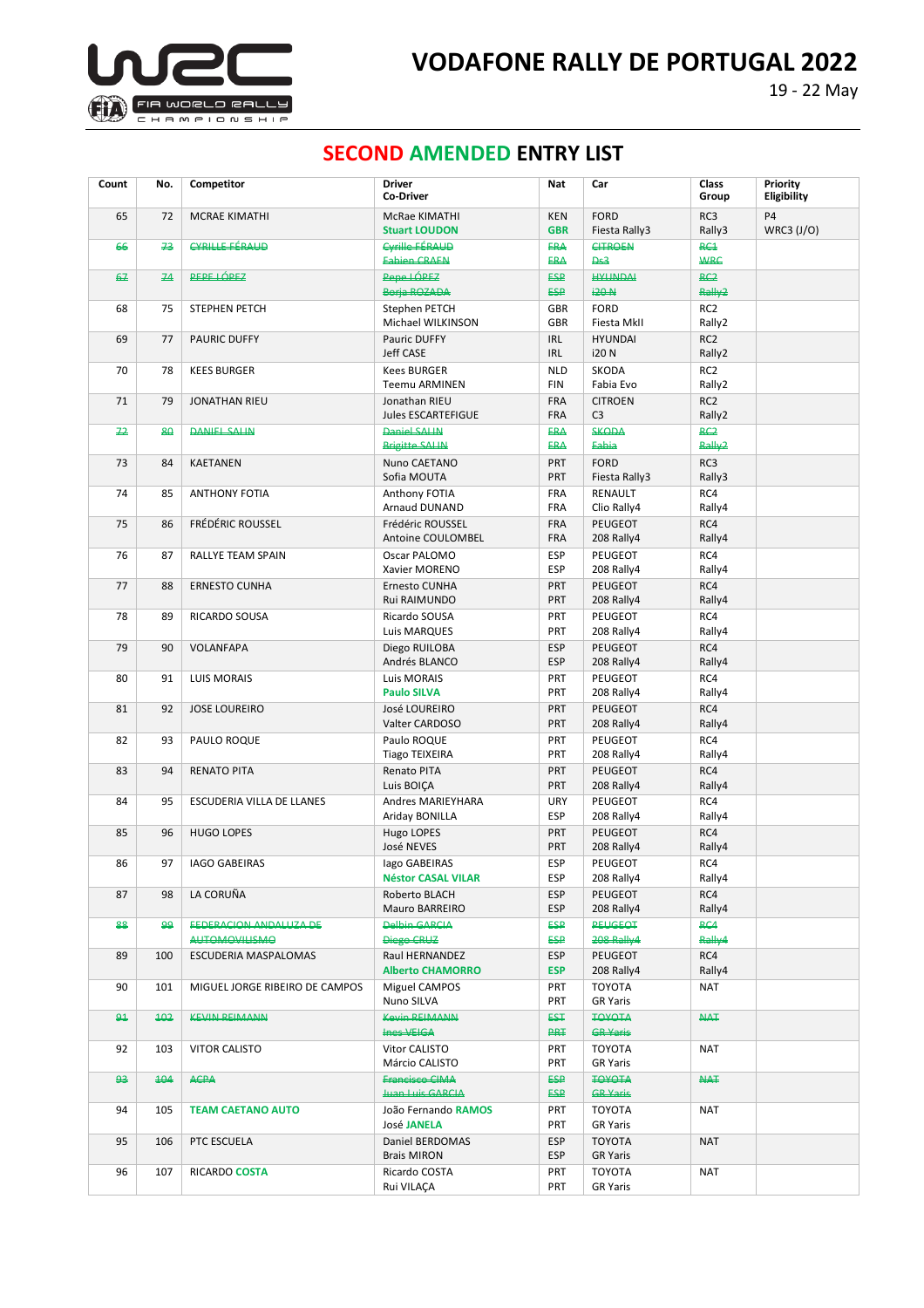

# **SECOND AMENDED ENTRY LIST**

| Count        | No. | Competitor                                    | <b>Driver</b><br>Co-Driver                       | Nat                      | Car                                 | Class<br>Group                       | Priority<br>Eligibility      |
|--------------|-----|-----------------------------------------------|--------------------------------------------------|--------------------------|-------------------------------------|--------------------------------------|------------------------------|
| 65           | 72  | <b>MCRAE KIMATHI</b>                          | McRae KIMATHI<br><b>Stuart LOUDON</b>            | <b>KEN</b><br><b>GBR</b> | <b>FORD</b><br>Fiesta Rally3        | RC3<br>Rally3                        | P <sub>4</sub><br>WRC3 (J/O) |
| 66           | 73  | CYRILLE EÉRALID                               | Cyrille FÉRALID<br><b>Fabien CRAEN</b>           | <b>ERA</b><br><b>FRA</b> | CITROFN<br>De2                      | R <sub>1</sub><br>WRC                |                              |
| 67           | 74  | <b>PEPE LÓPEZ</b>                             | Pepe LÓPEZ<br>Boria ROZADA                       | <b>ESP</b><br><b>ESP</b> | <b>HYLINDAI</b><br><b>i20-N</b>     | R <sup>2</sup><br>Rally <sub>2</sub> |                              |
| 68           | 75  | STEPHEN PETCH                                 | Stephen PETCH<br>Michael WILKINSON               | GBR<br><b>GBR</b>        | <b>FORD</b><br>Fiesta MkII          | RC <sub>2</sub><br>Rally2            |                              |
| 69           | 77  | <b>PAURIC DUFFY</b>                           | Pauric DUFFY<br>Jeff CASE                        | <b>IRL</b><br><b>IRL</b> | <b>HYUNDAI</b><br><b>i20N</b>       | RC <sub>2</sub><br>Rally2            |                              |
| 70           | 78  | <b>KEES BURGER</b>                            | <b>Kees BURGER</b><br><b>Teemu ARMINEN</b>       | <b>NLD</b><br><b>FIN</b> | SKODA<br>Fabia Evo                  | RC <sub>2</sub><br>Rally2            |                              |
| 71           | 79  | <b>JONATHAN RIEU</b>                          | Jonathan RIEU<br><b>Jules ESCARTEFIGUE</b>       | FRA<br>FRA               | <b>CITROEN</b><br>C <sub>3</sub>    | RC <sub>2</sub><br>Rally2            |                              |
| 72           | 80  | <b>DANIEL SALIN</b>                           | <b>Daniel SALIN</b><br><b>Brigitte SALIN</b>     | <b>ERA</b><br><b>ERA</b> | SKODA<br>Eabia                      | R <sub>2</sub><br><b>Rally2</b>      |                              |
| 73           | 84  | <b>KAETANEN</b>                               | Nuno CAETANO<br>Sofia MOUTA                      | <b>PRT</b><br><b>PRT</b> | <b>FORD</b><br>Fiesta Rally3        | RC3<br>Rally3                        |                              |
| 74           | 85  | <b>ANTHONY FOTIA</b>                          | Anthony FOTIA<br>Arnaud DUNAND                   | FRA<br>FRA               | RENAULT<br>Clio Rally4              | RC4<br>Rally4                        |                              |
| 75           | 86  | <b>FRÉDÉRIC ROUSSEL</b>                       | Frédéric ROUSSEL<br>Antoine COULOMBEL            | FRA<br>FRA               | <b>PEUGEOT</b><br>208 Rally4        | RC4<br>Rally4                        |                              |
| 76           | 87  | RALLYE TEAM SPAIN                             | Oscar PALOMO<br>Xavier MORENO                    | <b>ESP</b><br><b>ESP</b> | <b>PEUGEOT</b><br>208 Rally4        | RC4<br>Rally4                        |                              |
| 77           | 88  | <b>ERNESTO CUNHA</b>                          | Ernesto CUNHA<br>Rui RAIMUNDO                    | <b>PRT</b><br><b>PRT</b> | <b>PEUGEOT</b><br>208 Rally4        | RC4<br>Rally4                        |                              |
| 78           | 89  | RICARDO SOUSA                                 | Ricardo SOUSA<br>Luis MARQUES                    | <b>PRT</b><br>PRT        | PEUGEOT<br>208 Rally4               | RC4<br>Rally4                        |                              |
| 79           | 90  | VOLANFAPA                                     | Diego RUILOBA<br>Andrés BLANCO                   | <b>ESP</b><br><b>ESP</b> | <b>PEUGEOT</b><br>208 Rally4        | RC4<br>Rally4                        |                              |
| 80           | 91  | <b>LUIS MORAIS</b>                            | Luis MORAIS<br><b>Paulo SILVA</b>                | <b>PRT</b><br>PRT        | <b>PEUGEOT</b><br>208 Rally4        | RC4<br>Rally4                        |                              |
| 81           | 92  | <b>JOSE LOUREIRO</b>                          | José LOUREIRO<br>Valter CARDOSO                  | PRT<br>PRT               | <b>PEUGEOT</b><br>208 Rally4        | RC4<br>Rally4                        |                              |
| 82           | 93  | PAULO ROQUE                                   | Paulo ROQUE<br><b>Tiago TEIXEIRA</b>             | <b>PRT</b><br><b>PRT</b> | <b>PEUGEOT</b><br>208 Rally4        | RC4<br>Rally4                        |                              |
| 83           | 94  | <b>RENATO PITA</b>                            | <b>Renato PITA</b><br>Luis BOIÇA                 | <b>PRT</b><br>PRT        | <b>PEUGEOT</b><br>208 Rally4        | RC4<br>Rally4                        |                              |
| 84           | 95  | ESCUDERIA VILLA DE LLANES                     | Andres MARIEYHARA<br>Ariday BONILLA              | URY<br><b>ESP</b>        | <b>PEUGEOT</b><br>208 Rally4        | RC4<br>Rally4                        |                              |
| 85           | 96  | <b>HUGO LOPES</b>                             | Hugo LOPES<br>José NEVES                         | PRT<br><b>PRT</b>        | PEUGEOT<br>208 Rally4               | RC4<br>Rally4                        |                              |
| 86           | 97  | <b>IAGO GABEIRAS</b>                          | lago GABEIRAS<br><b>Néstor CASAL VILAR</b>       | ESP<br>ESP               | <b>PEUGEOT</b><br>208 Rally4        | RC4<br>Rally4                        |                              |
| 87           | 98  | LA CORUÑA                                     | Roberto BLACH<br>Mauro BARREIRO                  | <b>ESP</b><br><b>ESP</b> | <b>PEUGEOT</b><br>208 Rally4        | RC4<br>Rally4                        |                              |
| 88           | ھو  | <b>FEDERACION ANDALUZA DE</b><br>ΔΗΤΩΜΩΥΙΗΣΜΩ | <b>Delbin GARCIA</b><br>Diego CRUZ               | <b>ESP</b><br>ESP        | <b>PEUGEOT</b><br><b>208 Rally4</b> | R <sub>G4</sub><br><b>Rally4</b>     |                              |
| 89           | 100 | <b>ESCUDERIA MASPALOMAS</b>                   | Raul HERNANDEZ<br><b>Alberto CHAMORRO</b>        | <b>ESP</b><br><b>ESP</b> | PEUGEOT<br>208 Rally4               | RC4<br>Rally4                        |                              |
| 90           | 101 | MIGUEL JORGE RIBEIRO DE CAMPOS                | Miguel CAMPOS<br>Nuno SILVA                      | PRT<br><b>PRT</b>        | <b>TOYOTA</b><br><b>GR Yaris</b>    | <b>NAT</b>                           |                              |
| $\mathbf{a}$ | 102 | <b>KEVIN REIMANN</b>                          | <b>Kovin REIMANN</b><br><b>Inge VEIGA</b>        | <b>T23</b><br><b>PRT</b> | <b>TOYOTA</b><br><b>GR Yaris</b>    | HAT                                  |                              |
| 92           | 103 | <b>VITOR CALISTO</b>                          | Vitor CALISTO<br>Márcio CALISTO                  | <b>PRT</b><br><b>PRT</b> | <b>TOYOTA</b><br><b>GR Yaris</b>    | <b>NAT</b>                           |                              |
| 93           | 104 | ACPA                                          | <b>Francisco CIMA</b><br><b>Juan Luis GARCIA</b> | ESP<br>ESP               | <b>IQYOTA</b><br><b>GR Yaris</b>    | HAT                                  |                              |
| 94           | 105 | <b>TEAM CAETANO AUTO</b>                      | João Fernando RAMOS<br><b>José JANELA</b>        | PRT<br><b>PRT</b>        | <b>TOYOTA</b><br><b>GR Yaris</b>    | NAT                                  |                              |
| 95           | 106 | PTC ESCUELA                                   | Daniel BERDOMAS<br><b>Brais MIRON</b>            | <b>ESP</b><br><b>ESP</b> | <b>TOYOTA</b><br><b>GR Yaris</b>    | <b>NAT</b>                           |                              |
| 96           | 107 | RICARDO COSTA                                 | Ricardo COSTA<br>Rui VILAÇA                      | <b>PRT</b><br>PRT        | <b>TOYOTA</b><br><b>GR Yaris</b>    | <b>NAT</b>                           |                              |